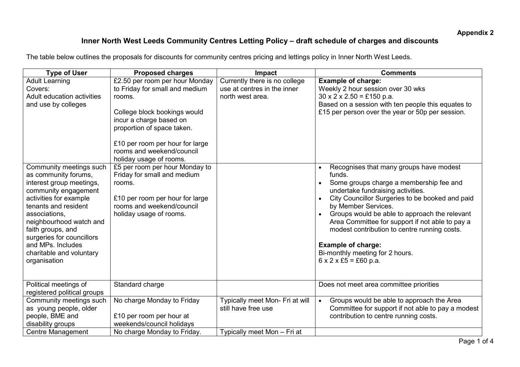## Inner North West Leeds Community Centres Letting Policy – draft schedule of charges and discounts

The table below outlines the proposals for discounts for community centres pricing and lettings policy in Inner North West Leeds.

| <b>Type of User</b>                                                                                                                                                                                                                                                                                                                                               | <b>Proposed charges</b>                                                                                                                                                                                                                                                                                                                                                                                                              | <b>Impact</b>                                                                    | <b>Comments</b>                                                                                                                                                                                                                                                                                                                                                                                                                                                                                                                                                                                                                             |
|-------------------------------------------------------------------------------------------------------------------------------------------------------------------------------------------------------------------------------------------------------------------------------------------------------------------------------------------------------------------|--------------------------------------------------------------------------------------------------------------------------------------------------------------------------------------------------------------------------------------------------------------------------------------------------------------------------------------------------------------------------------------------------------------------------------------|----------------------------------------------------------------------------------|---------------------------------------------------------------------------------------------------------------------------------------------------------------------------------------------------------------------------------------------------------------------------------------------------------------------------------------------------------------------------------------------------------------------------------------------------------------------------------------------------------------------------------------------------------------------------------------------------------------------------------------------|
| <b>Adult Learning</b><br>Covers:<br>Adult education activities<br>and use by colleges<br>Community meetings such<br>as community forums,<br>interest group meetings,<br>community engagement<br>activities for example<br>tenants and resident<br>associations,<br>neighbourhood watch and<br>faith groups, and<br>surgeries for councillors<br>and MPs. Includes | £2.50 per room per hour Monday<br>to Friday for small and medium<br>rooms.<br>College block bookings would<br>incur a charge based on<br>proportion of space taken.<br>£10 per room per hour for large<br>rooms and weekend/council<br>holiday usage of rooms.<br>£5 per room per hour Monday to<br>Friday for small and medium<br>rooms.<br>£10 per room per hour for large<br>rooms and weekend/council<br>holiday usage of rooms. | Currently there is no college<br>use at centres in the inner<br>north west area. | <b>Example of charge:</b><br>Weekly 2 hour session over 30 wks<br>$30 \times 2 \times 2.50 = £150$ p.a.<br>Based on a session with ten people this equates to<br>£15 per person over the year or 50p per session.<br>Recognises that many groups have modest<br>$\bullet$<br>funds.<br>Some groups charge a membership fee and<br>undertake fundraising activities.<br>City Councillor Surgeries to be booked and paid<br>$\bullet$<br>by Member Services.<br>Groups would be able to approach the relevant<br>Area Committee for support if not able to pay a<br>modest contribution to centre running costs.<br><b>Example of charge:</b> |
| charitable and voluntary<br>organisation<br>Political meetings of                                                                                                                                                                                                                                                                                                 | Standard charge                                                                                                                                                                                                                                                                                                                                                                                                                      |                                                                                  | Bi-monthly meeting for 2 hours.<br>$6 \times 2 \times £5 = £60$ p.a.<br>Does not meet area committee priorities                                                                                                                                                                                                                                                                                                                                                                                                                                                                                                                             |
| registered political groups                                                                                                                                                                                                                                                                                                                                       |                                                                                                                                                                                                                                                                                                                                                                                                                                      |                                                                                  |                                                                                                                                                                                                                                                                                                                                                                                                                                                                                                                                                                                                                                             |
| Community meetings such<br>as young people, older<br>people, BME and<br>disability groups                                                                                                                                                                                                                                                                         | No charge Monday to Friday<br>£10 per room per hour at<br>weekends/council holidays                                                                                                                                                                                                                                                                                                                                                  | Typically meet Mon- Fri at will<br>still have free use                           | Groups would be able to approach the Area<br>$\bullet$<br>Committee for support if not able to pay a modest<br>contribution to centre running costs.                                                                                                                                                                                                                                                                                                                                                                                                                                                                                        |
| <b>Centre Management</b>                                                                                                                                                                                                                                                                                                                                          | No charge Monday to Friday.                                                                                                                                                                                                                                                                                                                                                                                                          | Typically meet Mon - Fri at                                                      |                                                                                                                                                                                                                                                                                                                                                                                                                                                                                                                                                                                                                                             |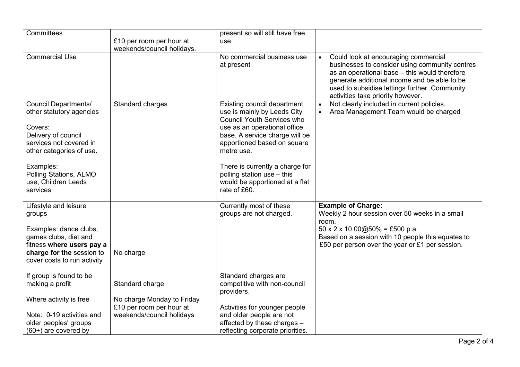| Committees                      |                                                       | present so will still have free                                  |                                                                                                                                                                                                                                                                                            |
|---------------------------------|-------------------------------------------------------|------------------------------------------------------------------|--------------------------------------------------------------------------------------------------------------------------------------------------------------------------------------------------------------------------------------------------------------------------------------------|
|                                 | £10 per room per hour at                              | use.                                                             |                                                                                                                                                                                                                                                                                            |
|                                 | weekends/council holidays.                            |                                                                  |                                                                                                                                                                                                                                                                                            |
| <b>Commercial Use</b>           |                                                       | No commercial business use<br>at present                         | Could look at encouraging commercial<br>$\bullet$<br>businesses to consider using community centres<br>as an operational base - this would therefore<br>generate additional income and be able to be<br>used to subsidise lettings further. Community<br>activities take priority however. |
| <b>Council Departments/</b>     | Standard charges                                      | Existing council department                                      | Not clearly included in current policies.<br>$\bullet$                                                                                                                                                                                                                                     |
| other statutory agencies        |                                                       | use is mainly by Leeds City<br><b>Council Youth Services who</b> | Area Management Team would be charged<br>$\bullet$                                                                                                                                                                                                                                         |
| Covers:                         |                                                       | use as an operational office                                     |                                                                                                                                                                                                                                                                                            |
| Delivery of council             |                                                       | base. A service charge will be                                   |                                                                                                                                                                                                                                                                                            |
| services not covered in         |                                                       | apportioned based on square                                      |                                                                                                                                                                                                                                                                                            |
| other categories of use.        |                                                       | metre use.                                                       |                                                                                                                                                                                                                                                                                            |
| Examples:                       |                                                       | There is currently a charge for                                  |                                                                                                                                                                                                                                                                                            |
| Polling Stations, ALMO          |                                                       | polling station use - this                                       |                                                                                                                                                                                                                                                                                            |
| use, Children Leeds<br>services |                                                       | would be apportioned at a flat<br>rate of £60.                   |                                                                                                                                                                                                                                                                                            |
|                                 |                                                       |                                                                  |                                                                                                                                                                                                                                                                                            |
| Lifestyle and leisure           |                                                       | Currently most of these                                          | <b>Example of Charge:</b>                                                                                                                                                                                                                                                                  |
| groups                          |                                                       | groups are not charged.                                          | Weekly 2 hour session over 50 weeks in a small                                                                                                                                                                                                                                             |
| Examples: dance clubs,          |                                                       |                                                                  | room.<br>$50 \times 2 \times 10.00@50\% = £500 p.a.$                                                                                                                                                                                                                                       |
| games clubs, diet and           |                                                       |                                                                  | Based on a session with 10 people this equates to                                                                                                                                                                                                                                          |
| fitness where users pay a       |                                                       |                                                                  | £50 per person over the year or £1 per session.                                                                                                                                                                                                                                            |
| charge for the session to       | No charge                                             |                                                                  |                                                                                                                                                                                                                                                                                            |
| cover costs to run activity     |                                                       |                                                                  |                                                                                                                                                                                                                                                                                            |
| If group is found to be         |                                                       | Standard charges are                                             |                                                                                                                                                                                                                                                                                            |
| making a profit                 | Standard charge                                       | competitive with non-council                                     |                                                                                                                                                                                                                                                                                            |
|                                 |                                                       | providers.                                                       |                                                                                                                                                                                                                                                                                            |
| Where activity is free          | No charge Monday to Friday                            |                                                                  |                                                                                                                                                                                                                                                                                            |
| Note: 0-19 activities and       | £10 per room per hour at<br>weekends/council holidays | Activities for younger people<br>and older people are not        |                                                                                                                                                                                                                                                                                            |
| older peoples' groups           |                                                       | affected by these charges -                                      |                                                                                                                                                                                                                                                                                            |
| $(60+)$ are covered by          |                                                       | reflecting corporate priorities.                                 |                                                                                                                                                                                                                                                                                            |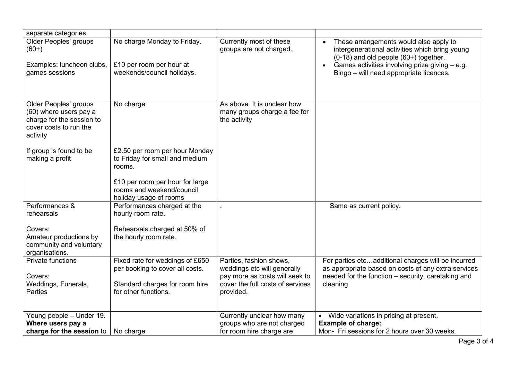| separate categories.                                                                                               |                                                                                        |                                                                                      |                                                                                                                                                                                                                                             |
|--------------------------------------------------------------------------------------------------------------------|----------------------------------------------------------------------------------------|--------------------------------------------------------------------------------------|---------------------------------------------------------------------------------------------------------------------------------------------------------------------------------------------------------------------------------------------|
| Older Peoples' groups<br>$(60+)$<br>Examples: luncheon clubs,<br>games sessions                                    | No charge Monday to Friday.<br>£10 per room per hour at<br>weekends/council holidays.  | Currently most of these<br>groups are not charged.                                   | These arrangements would also apply to<br>intergenerational activities which bring young<br>(0-18) and old people (60+) together.<br>Games activities involving prize giving - e.g.<br>$\bullet$<br>Bingo - will need appropriate licences. |
|                                                                                                                    |                                                                                        |                                                                                      |                                                                                                                                                                                                                                             |
| Older Peoples' groups<br>(60) where users pay a<br>charge for the session to<br>cover costs to run the<br>activity | No charge                                                                              | As above. It is unclear how<br>many groups charge a fee for<br>the activity          |                                                                                                                                                                                                                                             |
| If group is found to be<br>making a profit                                                                         | £2.50 per room per hour Monday<br>to Friday for small and medium<br>rooms.             |                                                                                      |                                                                                                                                                                                                                                             |
|                                                                                                                    | £10 per room per hour for large<br>rooms and weekend/council<br>holiday usage of rooms |                                                                                      |                                                                                                                                                                                                                                             |
| Performances &<br>rehearsals                                                                                       | Performances charged at the<br>hourly room rate.                                       |                                                                                      | Same as current policy.                                                                                                                                                                                                                     |
| Covers:<br>Amateur productions by<br>community and voluntary<br>organisations.                                     | Rehearsals charged at 50% of<br>the hourly room rate.                                  |                                                                                      |                                                                                                                                                                                                                                             |
| <b>Private functions</b>                                                                                           | Fixed rate for weddings of £650<br>per booking to cover all costs.                     | Parties, fashion shows,<br>weddings etc will generally                               | For parties etcadditional charges will be incurred<br>as appropriate based on costs of any extra services                                                                                                                                   |
| Covers:<br>Weddings, Funerals,<br><b>Parties</b>                                                                   | Standard charges for room hire<br>for other functions.                                 | pay more as costs will seek to<br>cover the full costs of services<br>provided.      | needed for the function – security, caretaking and<br>cleaning.                                                                                                                                                                             |
| Young people - Under 19.<br>Where users pay a<br>charge for the session to                                         | No charge                                                                              | Currently unclear how many<br>groups who are not charged<br>for room hire charge are | Wide variations in pricing at present.<br><b>Example of charge:</b><br>Mon- Fri sessions for 2 hours over 30 weeks.                                                                                                                         |